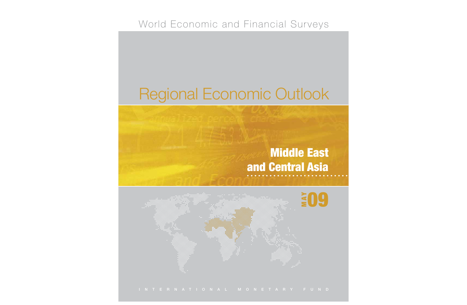# World Economic and Financial Surveys

# Regional Economic Outlook

# **Middle East and Central Asia**

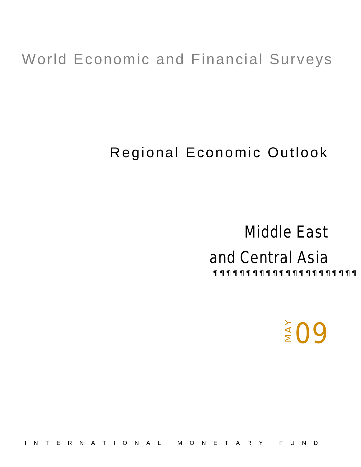# World Economic and Financial Surveys

# Regional Economic Outlook

# Middle East and Central Asia  $x \in \mathbb{R}$  and  $x \in \mathbb{R}$  and  $x \in \mathbb{R}$  and  $x \in \mathbb{R}$  and  $x \in \mathbb{R}$  and  $x \in \mathbb{R}$  and  $x \in \mathbb{R}$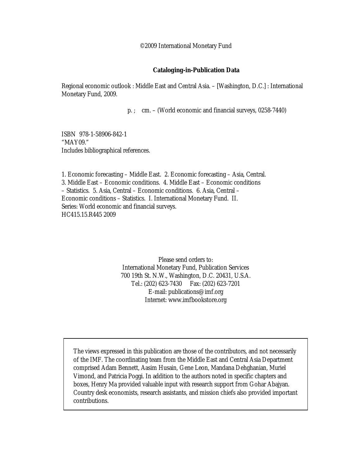©2009 International Monetary Fund

#### **Cataloging-in-Publication Data**

Regional economic outlook : Middle East and Central Asia. – [Washington, D.C.] : International Monetary Fund, 2009.

p. ; cm. – (World economic and financial surveys, 0258-7440)

ISBN 978-1-58906-842-1 "MAY09." Includes bibliographical references.

1. Economic forecasting – Middle East. 2. Economic forecasting – Asia, Central. 3. Middle East – Economic conditions. 4. Middle East – Economic conditions – Statistics. 5. Asia, Central – Economic conditions. 6. Asia, Central – Economic conditions – Statistics. I. International Monetary Fund. II. Series: World economic and financial surveys. HC415.15.R445 2009

> Please send orders to: International Monetary Fund, Publication Services 700 19th St. N.W., Washington, D.C. 20431, U.S.A. Tel.: (202) 623-7430 Fax: (202) 623-7201 E-mail: publications@imf.org Internet: www.imfbookstore.org

The views expressed in this publication are those of the contributors, and not necessarily of the IMF. The coordinating team from the Middle East and Central Asia Department comprised Adam Bennett, Aasim Husain, Gene Leon, Mandana Dehghanian, Muriel Vimond, and Patricia Poggi. In addition to the authors noted in specific chapters and boxes, Henry Ma provided valuable input with research support from Gohar Abajyan. Country desk economists, research assistants, and mission chiefs also provided important contributions.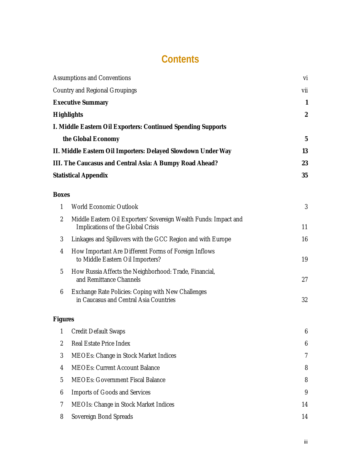# **Contents**

|                | <b>Assumptions and Conventions</b>                                                                    | vi               |
|----------------|-------------------------------------------------------------------------------------------------------|------------------|
|                | Country and Regional Groupings                                                                        | vii              |
|                | <b>Executive Summary</b>                                                                              | $\mathbf{1}$     |
|                | <b>Highlights</b>                                                                                     | $\boldsymbol{2}$ |
|                | I. Middle Eastern Oil Exporters: Continued Spending Supports                                          |                  |
|                | the Global Economy                                                                                    | $\mathbf 5$      |
|                | II. Middle Eastern Oil Importers: Delayed Slowdown Under Way                                          | 13               |
|                | III. The Caucasus and Central Asia: A Bumpy Road Ahead?                                               | 23               |
|                | <b>Statistical Appendix</b>                                                                           | 35               |
| <b>Boxes</b>   |                                                                                                       |                  |
| $\mathbf{1}$   | World Economic Outlook                                                                                | 3                |
| $\overline{2}$ | Middle Eastern Oil Exporters' Sovereign Wealth Funds: Impact and<br>Implications of the Global Crisis | 11               |
| 3              | Linkages and Spillovers with the GCC Region and with Europe                                           | 16               |
| 4              | How Important Are Different Forms of Foreign Inflows<br>to Middle Eastern Oil Importers?              | 19               |
| 5              | How Russia Affects the Neighborhood: Trade, Financial,<br>and Remittance Channels                     | 27               |
| 6              | Exchange Rate Policies: Coping with New Challenges<br>in Caucasus and Central Asia Countries          | 32               |
| <b>Figures</b> |                                                                                                       |                  |
| 1              | <b>Credit Default Swaps</b>                                                                           | 6                |
| $\overline{2}$ | Real Estate Price Index                                                                               | 6                |
| 3              | MEOEs: Change in Stock Market Indices                                                                 | 7                |
| 4              | <b>MEOEs: Current Account Balance</b>                                                                 | 8                |
| 5              | <b>MEOEs: Government Fiscal Balance</b>                                                               | 8                |
| 6              | Imports of Goods and Services                                                                         | 9                |
| 7              | MEOIs: Change in Stock Market Indices                                                                 | 14               |
| 8              | Sovereign Bond Spreads                                                                                | 14               |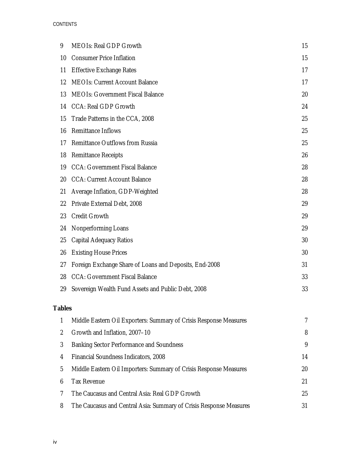#### CONTENTS

| 9  | <b>MEOIs: Real GDP Growth</b>                          | 15 |
|----|--------------------------------------------------------|----|
| 10 | <b>Consumer Price Inflation</b>                        | 15 |
| 11 | <b>Effective Exchange Rates</b>                        | 17 |
| 12 | <b>MEOIs: Current Account Balance</b>                  | 17 |
| 13 | <b>MEOIs: Government Fiscal Balance</b>                | 20 |
| 14 | CCA: Real GDP Growth                                   | 24 |
| 15 | Trade Patterns in the CCA, 2008                        | 25 |
| 16 | Remittance Inflows                                     | 25 |
| 17 | Remittance Outflows from Russia                        | 25 |
| 18 | <b>Remittance Receipts</b>                             | 26 |
| 19 | <b>CCA: Government Fiscal Balance</b>                  | 28 |
| 20 | <b>CCA: Current Account Balance</b>                    | 28 |
| 21 | Average Inflation, GDP-Weighted                        | 28 |
| 22 | Private External Debt, 2008                            | 29 |
| 23 | <b>Credit Growth</b>                                   | 29 |
| 24 | Nonperforming Loans                                    | 29 |
| 25 | Capital Adequacy Ratios                                | 30 |
| 26 | <b>Existing House Prices</b>                           | 30 |
| 27 | Foreign Exchange Share of Loans and Deposits, End-2008 | 31 |
| 28 | <b>CCA: Government Fiscal Balance</b>                  | 33 |
| 29 | Sovereign Wealth Fund Assets and Public Debt, 2008     | 33 |
|    |                                                        |    |

#### **Tables**

|               | Middle Eastern Oil Exporters: Summary of Crisis Response Measures  | 7  |
|---------------|--------------------------------------------------------------------|----|
| $\mathcal{L}$ | Growth and Inflation, 2007-10                                      | 8  |
| 3             | Banking Sector Performance and Soundness                           | 9  |
| 4             | Financial Soundness Indicators, 2008                               | 14 |
| 5             | Middle Eastern Oil Importers: Summary of Crisis Response Measures  | 20 |
| 6             | <b>Tax Revenue</b>                                                 | 21 |
|               | The Caucasus and Central Asia: Real GDP Growth                     | 25 |
| 8             | The Caucasus and Central Asia: Summary of Crisis Response Measures | 31 |
|               |                                                                    |    |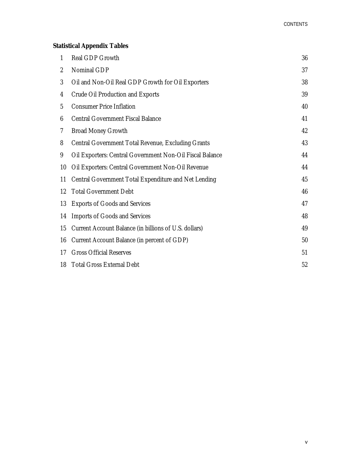#### **Statistical Appendix Tables**

| 1              | Real GDP Growth                                          | 36 |
|----------------|----------------------------------------------------------|----|
| $\overline{2}$ | Nominal GDP                                              | 37 |
| $\mathfrak{Z}$ | Oil and Non-Oil Real GDP Growth for Oil Exporters        | 38 |
| 4              | Crude Oil Production and Exports                         | 39 |
| 5              | <b>Consumer Price Inflation</b>                          | 40 |
| 6              | <b>Central Government Fiscal Balance</b>                 | 41 |
| $\overline{7}$ | <b>Broad Money Growth</b>                                | 42 |
| 8              | Central Government Total Revenue, Excluding Grants       | 43 |
| 9              | Oil Exporters: Central Government Non-Oil Fiscal Balance | 44 |
| 10             | Oil Exporters: Central Government Non-Oil Revenue        | 44 |
| 11             | Central Government Total Expenditure and Net Lending     | 45 |
| 12             | <b>Total Government Debt</b>                             | 46 |
| 13             | <b>Exports of Goods and Services</b>                     | 47 |
| 14             | Imports of Goods and Services                            | 48 |
| 15             | Current Account Balance (in billions of U.S. dollars)    | 49 |
| 16             | Current Account Balance (in percent of GDP)              | 50 |
| 17             | <b>Gross Official Reserves</b>                           | 51 |
| 18             | <b>Total Gross External Debt</b>                         | 52 |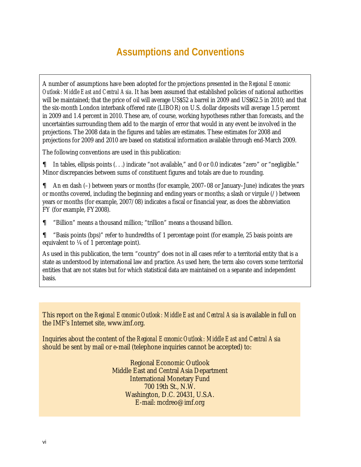# **Assumptions and Conventions**

A number of assumptions have been adopted for the projections presented in the *Regional Economic Outlook: Middle East and Central Asia*. It has been assumed that established policies of national authorities will be maintained; that the price of oil will average US\$52 a barrel in 2009 and US\$62.5 in 2010; and that the six-month London interbank offered rate (LIBOR) on U.S. dollar deposits will average 1.5 percent in 2009 and 1.4 percent in 2010. These are, of course, working hypotheses rather than forecasts, and the uncertainties surrounding them add to the margin of error that would in any event be involved in the projections. The 2008 data in the figures and tables are estimates. These estimates for 2008 and projections for 2009 and 2010 are based on statistical information available through end-March 2009.

The following conventions are used in this publication:

 $\epsilon$  In tables, ellipsis points (...) indicate "not available," and 0 or 0.0 indicates "zero" or "negligible." Minor discrepancies between sums of constituent figures and totals are due to rounding.

 $\epsilon$  An en dash (-) between years or months (for example, 2007–08 or January–June) indicates the years or months covered, including the beginning and ending years or months; a slash or virgule (/) between years or months (for example, 2007/08) indicates a fiscal or financial year, as does the abbreviation FY (for example, FY2008).

 $\epsilon$  "Billion" means a thousand million: "trillion" means a thousand billion.

 $\epsilon$  "Basis points (bps)" refer to hundredths of 1 percentage point (for example, 25 basis points are equivalent to ¼ of 1 percentage point).

As used in this publication, the term "country" does not in all cases refer to a territorial entity that is a state as understood by international law and practice. As used here, the term also covers some territorial entities that are not states but for which statistical data are maintained on a separate and independent basis.

This report on the *Regional Economic Outlook: Middle East and Central Asia* is available in full on the IMF's Internet site, www.imf.org.

Inquiries about the content of the *Regional Economic Outlook: Middle East and Central Asia* should be sent by mail or e-mail (telephone inquiries cannot be accepted) to:

> Regional Economic Outlook Middle East and Central Asia Department International Monetary Fund 700 19th St., N.W. Washington, D.C. 20431, U.S.A. E-mail: mcdreo@imf.org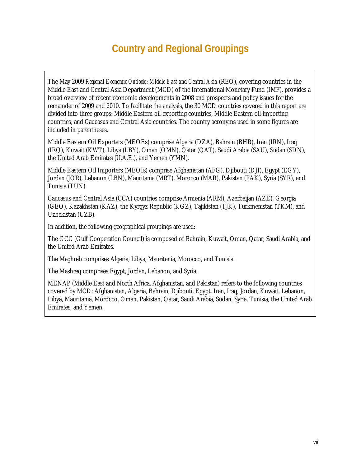# **Country and Regional Groupings**

The May 2009 *Regional Economic Outlook: Middle East and Central Asia* (REO), covering countries in the Middle East and Central Asia Department (MCD) of the International Monetary Fund (IMF), provides a broad overview of recent economic developments in 2008 and prospects and policy issues for the remainder of 2009 and 2010. To facilitate the analysis, the 30 MCD countries covered in this report are divided into three groups: Middle Eastern oil-exporting countries, Middle Eastern oil-importing countries, and Caucasus and Central Asia countries. The country acronyms used in some figures are included in parentheses.

Middle Eastern Oil Exporters (MEOEs) comprise Algeria (DZA), Bahrain (BHR), Iran (IRN), Iraq (IRQ), Kuwait (KWT), Libya (LBY), Oman (OMN), Qatar (QAT), Saudi Arabia (SAU), Sudan (SDN), the United Arab Emirates (U.A.E.), and Yemen (YMN).

Middle Eastern Oil Importers (MEOIs) comprise Afghanistan (AFG), Djibouti (DJI), Egypt (EGY), Jordan (JOR), Lebanon (LBN), Mauritania (MRT), Morocco (MAR), Pakistan (PAK), Syria (SYR), and Tunisia (TUN).

Caucasus and Central Asia (CCA) countries comprise Armenia (ARM), Azerbaijan (AZE), Georgia (GEO), Kazakhstan (KAZ), the Kyrgyz Republic (KGZ), Tajikistan (TJK), Turkmenistan (TKM), and Uzbekistan (UZB).

In addition, the following geographical groupings are used:

The GCC (Gulf Cooperation Council) is composed of Bahrain, Kuwait, Oman, Qatar, Saudi Arabia, and the United Arab Emirates.

The Maghreb comprises Algeria, Libya, Mauritania, Morocco, and Tunisia.

The Mashreq comprises Egypt, Jordan, Lebanon, and Syria.

MENAP (Middle East and North Africa, Afghanistan, and Pakistan) refers to the following countries covered by MCD: Afghanistan, Algeria, Bahrain, Djibouti, Egypt, Iran, Iraq, Jordan, Kuwait, Lebanon, Libya, Mauritania, Morocco, Oman, Pakistan, Qatar, Saudi Arabia, Sudan, Syria, Tunisia, the United Arab Emirates, and Yemen.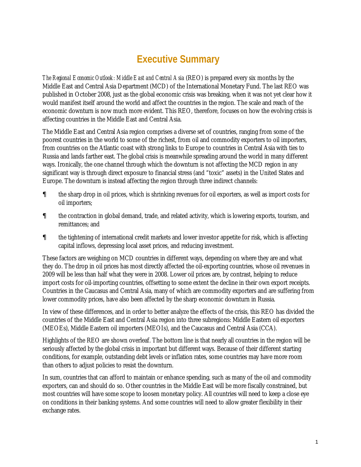# **Executive Summary**

*The Regional Economic Outlook: Middle East and Central Asia* (REO) is prepared every six months by the Middle East and Central Asia Department (MCD) of the International Monetary Fund. The last REO was published in October 2008, just as the global economic crisis was breaking, when it was not yet clear how it would manifest itself around the world and affect the countries in the region. The scale and reach of the economic downturn is now much more evident. This REO, therefore, focuses on how the evolving crisis is affecting countries in the Middle East and Central Asia.

The Middle East and Central Asia region comprises a diverse set of countries, ranging from some of the poorest countries in the world to some of the richest, from oil and commodity exporters to oil importers, from countries on the Atlantic coast with strong links to Europe to countries in Central Asia with ties to Russia and lands farther east. The global crisis is meanwhile spreading around the world in many different ways. Ironically, the one channel through which the downturn is not affecting the MCD region in any significant way is through direct exposure to financial stress (and "toxic" assets) in the United States and Europe. The downturn is instead affecting the region through three indirect channels:

- $\epsilon$  the sharp drop in oil prices, which is shrinking revenues for oil exporters, as well as import costs for oil importers;
- $\epsilon$  the contraction in global demand, trade, and related activity, which is lowering exports, tourism, and remittances; and
- $\epsilon$  the tightening of international credit markets and lower investor appetite for risk, which is affecting capital inflows, depressing local asset prices, and reducing investment.

These factors are weighing on MCD countries in different ways, depending on where they are and what they do. The drop in oil prices has most directly affected the oil-exporting countries, whose oil revenues in 2009 will be less than half what they were in 2008. Lower oil prices are, by contrast, helping to reduce import costs for oil-importing countries, offsetting to some extent the decline in their own export receipts. Countries in the Caucasus and Central Asia, many of which are commodity exporters and are suffering from lower commodity prices, have also been affected by the sharp economic downturn in Russia.

In view of these differences, and in order to better analyze the effects of the crisis, this REO has divided the countries of the Middle East and Central Asia region into three subregions: Middle Eastern oil exporters (MEOEs), Middle Eastern oil importers (MEOIs), and the Caucasus and Central Asia (CCA).

Highlights of the REO are shown overleaf. The bottom line is that nearly all countries in the region will be seriously affected by the global crisis in important but different ways. Because of their different starting conditions, for example, outstanding debt levels or inflation rates, some countries may have more room than others to adjust policies to resist the downturn.

In sum, countries that can afford to maintain or enhance spending, such as many of the oil and commodity exporters, can and should do so. Other countries in the Middle East will be more fiscally constrained, but most countries will have some scope to loosen monetary policy. All countries will need to keep a close eye on conditions in their banking systems. And some countries will need to allow greater flexibility in their exchange rates.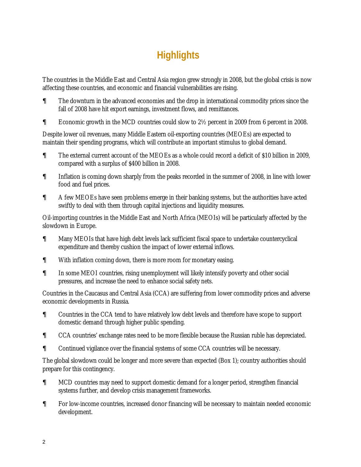# **Highlights**

The countries in the Middle East and Central Asia region grew strongly in 2008, but the global crisis is now affecting these countries, and economic and financial vulnerabilities are rising.

- $\epsilon$  The downturn in the advanced economies and the drop in international commodity prices since the fall of 2008 have hit export earnings, investment flows, and remittances.
- $\epsilon$  Economic growth in the MCD countries could slow to 2 $\frac{1}{2}$  percent in 2009 from 6 percent in 2008.

Despite lower oil revenues, many Middle Eastern oil-exporting countries (MEOEs) are expected to maintain their spending programs, which will contribute an important stimulus to global demand.

- $\epsilon$  The external current account of the MEOEs as a whole could record a deficit of \$10 billion in 2009, compared with a surplus of \$400 billion in 2008.
- $\epsilon$  Inflation is coming down sharply from the peaks recorded in the summer of 2008, in line with lower food and fuel prices.
- $\epsilon$  A few MEOEs have seen problems emerge in their banking systems, but the authorities have acted swiftly to deal with them through capital injections and liquidity measures.

Oil-importing countries in the Middle East and North Africa (MEOIs) will be particularly affected by the slowdown in Europe.

- $\epsilon$  Many MEOIs that have high debt levels lack sufficient fiscal space to undertake countercyclical expenditure and thereby cushion the impact of lower external inflows.
- $\epsilon$  With inflation coming down, there is more room for monetary easing.
- $\epsilon$  In some MEOI countries, rising unemployment will likely intensify poverty and other social pressures, and increase the need to enhance social safety nets.

Countries in the Caucasus and Central Asia (CCA) are suffering from lower commodity prices and adverse economic developments in Russia.

- $\epsilon$  Countries in the CCA tend to have relatively low debt levels and therefore have scope to support domestic demand through higher public spending.
- $\epsilon$  CCA countries' exchange rates need to be more flexible because the Russian ruble has depreciated.
- $\epsilon$  Continued vigilance over the financial systems of some CCA countries will be necessary.

The global slowdown could be longer and more severe than expected (Box 1); country authorities should prepare for this contingency.

- $\epsilon$  MCD countries may need to support domestic demand for a longer period, strengthen financial systems further, and develop crisis management frameworks.
- $\epsilon$  For low-income countries, increased donor financing will be necessary to maintain needed economic development.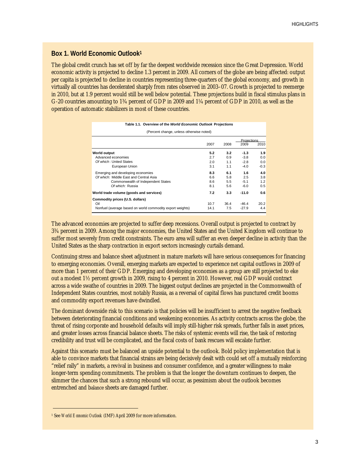#### **Box 1. World Economic Outlook1**

The global credit crunch has set off by far the deepest worldwide recession since the Great Depression. World economic activity is projected to decline 1.3 percent in 2009. All corners of the globe are being affected: output per capita is projected to decline in countries representing three-quarters of the global economy, and growth in virtually all countries has decelerated sharply from rates observed in 2003–07. Growth is projected to reemerge in 2010, but at 1.9 percent would still be well below potential. These projections build in fiscal stimulus plans in G-20 countries amounting to 1¾ percent of GDP in 2009 and 1¼ percent of GDP in 2010, as well as the operation of automatic stabilizers in most of these countries.

**Table 1.1. Overview of the** *World Economic Outlook* **Projections**

| (Percent change, unless otherwise noted)                                |      |      |                    |        |  |  |  |  |  |
|-------------------------------------------------------------------------|------|------|--------------------|--------|--|--|--|--|--|
|                                                                         |      |      | <b>Projections</b> |        |  |  |  |  |  |
|                                                                         | 2007 | 2008 | 2009               | 2010   |  |  |  |  |  |
| World output                                                            | 5.2  | 3.2  | $-1.3$             | 1.9    |  |  |  |  |  |
| Advanced economies                                                      | 2.7  | 0.9  | $-3.8$             | 0.0    |  |  |  |  |  |
| Of which: United States                                                 | 2.0  | 1.1  | $-2.8$             | 0.0    |  |  |  |  |  |
| European Union                                                          | 3.1  | 1.1  | $-4.0$             | $-0.3$ |  |  |  |  |  |
| Emerging and developing economies                                       | 8.3  | 6.1  | 1.6                | 4.0    |  |  |  |  |  |
| Of which: Middle East and Central Asia                                  | 6.6  | 5.8  | 2.5                | 3.8    |  |  |  |  |  |
| Commonwealth of Independent States                                      | 8.6  | 5.5  | $-5.1$             | 1.2    |  |  |  |  |  |
| Of which: Russia                                                        | 8.1  | 5.6  | $-6.0$             | 0.5    |  |  |  |  |  |
| 7.2<br>$-11.0$<br>World trade volume (goods and services)<br>3.3<br>0.6 |      |      |                    |        |  |  |  |  |  |
| Commodity prices (U.S. dollars)                                         |      |      |                    |        |  |  |  |  |  |
| Oil                                                                     | 10.7 | 36.4 | $-46.4$            | 20.2   |  |  |  |  |  |
| Nonfuel (average based on world commodity export weights)               | 14.1 | 7.5  | $-27.9$            | 4.4    |  |  |  |  |  |

The advanced economies are projected to suffer deep recessions. Overall output is projected to contract by 3¾ percent in 2009. Among the major economies, the United States and the United Kingdom will continue to suffer most severely from credit constraints. The euro area will suffer an even deeper decline in activity than the United States as the sharp contraction in export sectors increasingly curtails demand.

Continuing stress and balance sheet adjustment in mature markets will have serious consequences for financing to emerging economies. Overall, emerging markets are expected to experience net capital outflows in 2009 of more than 1 percent of their GDP. Emerging and developing economies as a group are still projected to eke out a modest 1½ percent growth in 2009, rising to 4 percent in 2010. However, real GDP would contract across a wide swathe of countries in 2009. The biggest output declines are projected in the Commonwealth of Independent States countries, most notably Russia, as a reversal of capital flows has punctured credit booms and commodity export revenues have dwindled.

The dominant downside risk to this scenario is that policies will be insufficient to arrest the negative feedback between deteriorating financial conditions and weakening economies. As activity contracts across the globe, the threat of rising corporate and household defaults will imply still-higher risk spreads, further falls in asset prices, and greater losses across financial balance sheets. The risks of systemic events will rise, the task of restoring credibility and trust will be complicated, and the fiscal costs of bank rescues will escalate further.

Against this scenario must be balanced an upside potential to the outlook. Bold policy implementation that is able to convince markets that financial strains are being decisively dealt with could set off a mutually reinforcing "relief rally" in markets, a revival in business and consumer confidence, and a greater willingness to make longer-term spending commitments. The problem is that the longer the downturn continues to deepen, the slimmer the chances that such a strong rebound will occur, as pessimism about the outlook becomes entrenched and balance sheets are damaged further.

<sup>1</sup> See *World Economic Outlook* (IMF) April 2009 for more information.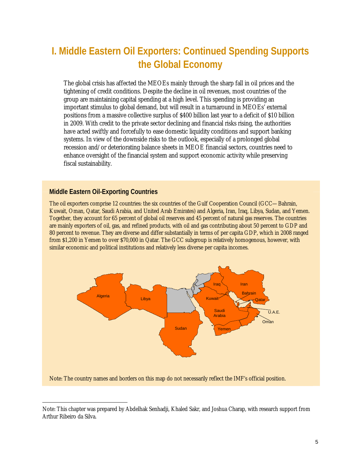# **I. Middle Eastern Oil Exporters: Continued Spending Supports the Global Economy**

The global crisis has affected the MEOEs mainly through the sharp fall in oil prices and the tightening of credit conditions. Despite the decline in oil revenues, most countries of the group are maintaining capital spending at a high level. This spending is providing an important stimulus to global demand, but will result in a turnaround in MEOEs' external positions from a massive collective surplus of \$400 billion last year to a deficit of \$10 billion in 2009. With credit to the private sector declining and financial risks rising, the authorities have acted swiftly and forcefully to ease domestic liquidity conditions and support banking systems. In view of the downside risks to the outlook, especially of a prolonged global recession and/or deteriorating balance sheets in MEOE financial sectors, countries need to enhance oversight of the financial system and support economic activity while preserving fiscal sustainability.

#### **Middle Eastern Oil-Exporting Countries**

The oil exporters comprise 12 countries: the six countries of the Gulf Cooperation Council (GCC—Bahrain, Kuwait, Oman, Qatar, Saudi Arabia, and United Arab Emirates) and Algeria, Iran, Iraq, Libya, Sudan, and Yemen. Together, they account for 65 percent of global oil reserves and 45 percent of natural gas reserves. The countries are mainly exporters of oil, gas, and refined products, with oil and gas contributing about 50 percent to GDP and 80 percent to revenue. They are diverse and differ substantially in terms of per capita GDP, which in 2008 ranged from \$1,200 in Yemen to over \$70,000 in Qatar. The GCC subgroup is relatively homogenous, however, with similar economic and political institutions and relatively less diverse per capita incomes.



Note: This chapter was prepared by Abdelhak Senhadji, Khaled Sakr, and Joshua Charap, with research support from Arthur Ribeiro da Silva.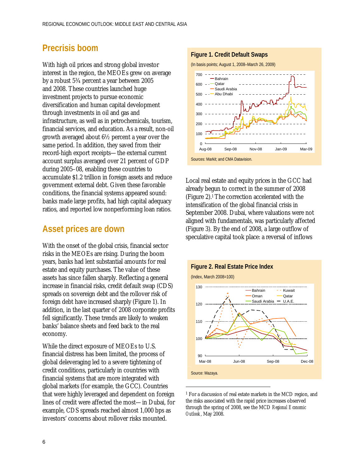#### **Precrisis boom**

With high oil prices and strong global investor interest in the region, the MEOEs grew on average by a robust 5¾ percent a year between 2005 and 2008. These countries launched huge investment projects to pursue economic diversification and human capital development through investments in oil and gas and infrastructure, as well as in petrochemicals, tourism, financial services, and education. As a result, non-oil growth averaged about 6½ percent a year over the same period. In addition, they saved from their record-high export receipts—the external current account surplus averaged over 21 percent of GDP during 2005–08, enabling these countries to accumulate \$1.2 trillion in foreign assets and reduce government external debt. Given these favorable conditions, the financial systems appeared sound: banks made large profits, had high capital adequacy ratios, and reported low nonperforming loan ratios*.*

#### **Asset prices are down**

With the onset of the global crisis, financial sector risks in the MEOEs are rising. During the boom years, banks had lent substantial amounts for real estate and equity purchases. The value of these assets has since fallen sharply. Reflecting a general increase in financial risks, credit default swap (CDS) spreads on sovereign debt and the rollover risk of foreign debt have increased sharply (Figure 1). In addition, in the last quarter of 2008 corporate profits fell significantly. These trends are likely to weaken banks' balance sheets and feed back to the real economy.

While the direct exposure of MEOEs to U.S. financial distress has been limited, the process of global deleveraging led to a severe tightening of credit conditions, particularly in countries with financial systems that are more integrated with global markets (for example, the GCC). Countries that were highly leveraged and dependent on foreign lines of credit were affected the most—in Dubai, for example, CDS spreads reached almost 1,000 bps as investors' concerns about rollover risks mounted.

#### **Figure 1. Credit Default Swaps**



Local real estate and equity prices in the GCC had already begun to correct in the summer of 2008 (Figure 2).1 The correction accelerated with the intensification of the global financial crisis in September 2008. Dubai, where valuations were not aligned with fundamentals, was particularly affected (Figure 3). By the end of 2008, a large outflow of speculative capital took place: a reversal of inflows



<sup>1</sup> For a discussion of real estate markets in the MCD region, and the risks associated with the rapid price increases observed through the spring of 2008, see the MCD *Regional Economic Outlook*, May 2008.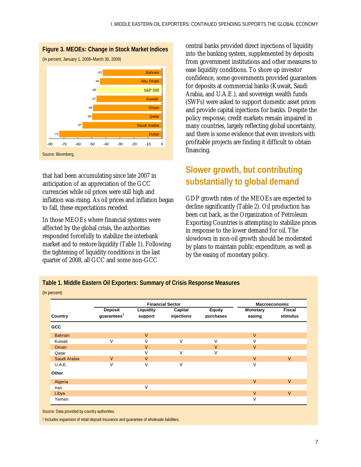

that had been accumulating since late 2007 in anticipation of an appreciation of the GCC currencies while oil prices were still high and inflation was rising. As oil prices and inflation began to fall, these expectations receded.

In those MEOEs where financial systems were affected by the global crisis, the authorities responded forcefully to stabilize the interbank market and to restore liquidity (Table 1). Following the tightening of liquidity conditions in the last quarter of 2008, all GCC and some non-GCC

central banks provided direct injections of liquidity into the banking system, supplemented by deposits from government institutions and other measures to ease liquidity conditions. To shore up investor confidence, some governments provided guarantees for deposits at commercial banks (Kuwait, Saudi Arabia, and U.A.E.), and sovereign wealth funds (SWFs) were asked to support domestic asset prices and provide capital injections for banks. Despite the policy response, credit markets remain impaired in many countries, largely reflecting global uncertainty, and there is some evidence that even investors with profitable projects are finding it difficult to obtain financing.

## **Slower growth, but contributing substantially to global demand**

GDP growth rates of the MEOEs are expected to decline significantly (Table 2). Oil production has been cut back, as the Organization of Petroleum Exporting Countries is attempting to stabilize prices in response to the lower demand for oil. The slowdown in non-oil growth should be moderated by plans to maintain public expenditure, as well as by the easing of monetary policy.

|                |                                    | <b>Macroeconomic</b> |                       |                            |                           |                           |
|----------------|------------------------------------|----------------------|-----------------------|----------------------------|---------------------------|---------------------------|
| <b>Country</b> | Deposit<br>guarantees <sup>1</sup> | Liquidity<br>support | Capital<br>injections | <b>Equity</b><br>purchases | <b>Monetary</b><br>easing | <b>Fiscal</b><br>stimulus |
| GCC            |                                    |                      |                       |                            |                           |                           |
| <b>Bahrain</b> |                                    | J                    |                       |                            | J                         |                           |
| Kuwait         | J                                  | J                    | J                     |                            |                           |                           |
| Oman           |                                    | ا.                   |                       |                            | J                         |                           |
| Qatar          |                                    |                      | J                     | J                          |                           |                           |
| Saudi Arabia   | J                                  |                      |                       |                            | $_{\rm J}$                | J                         |
| U.A.E.         |                                    |                      |                       |                            | J                         |                           |
| Other          |                                    |                      |                       |                            |                           |                           |
| Algeria        |                                    |                      |                       |                            | J                         | J                         |
| Iran           |                                    | J                    |                       |                            |                           |                           |
| Libya          |                                    |                      |                       |                            | J                         | J                         |
| Yemen          |                                    |                      |                       |                            | J                         |                           |

**Table 1. Middle Eastern Oil Exporters: Summary of Crisis Response Measures**  (In percent)

Source: Data provided by country authorities.

<sup>1</sup> Includes expansion of retail deposit insurance and quarantee of wholesale liabilities.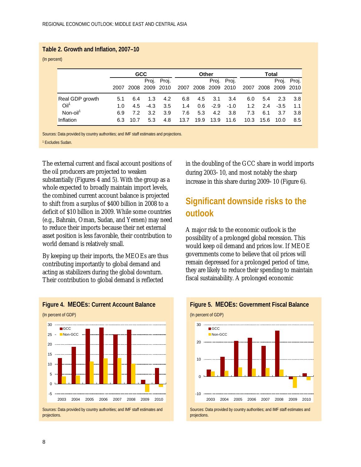#### **Table 2. Growth and Inflation, 2007–10**

(In percent)

|                  |                 |             | <b>GCC</b> |                |             |      | Other |                     |             |      | Total |                     |             |
|------------------|-----------------|-------------|------------|----------------|-------------|------|-------|---------------------|-------------|------|-------|---------------------|-------------|
|                  |                 |             |            |                | Proj. Proj. |      |       |                     | Proj. Proj. |      |       |                     | Proj. Proj. |
|                  |                 | 2007        |            | 2008 2009 2010 |             |      |       | 2007 2008 2009 2010 |             |      |       | 2007 2008 2009 2010 |             |
|                  | Real GDP growth | 5.1         | 6.4        | 1.3            | 4.2         | 6.8  |       | 4.5 3.1             | 3.4         | 6.0  | 5.4   | 2.3                 | 3.8         |
| Oil <sup>1</sup> |                 | 1. $\Omega$ | 4.5        | $-4.3$         | 3.5         | 1.4  |       | $0.6$ -2.9 -1.0     |             | 1.2  | 2.4   | $-3.5$              | 1.1         |
| Non-oil          |                 | 6.9         | 7.2        | 3.2            | 3.9         | 7.6  | 5.3   | 4.2                 | -3.8        | 7.3  | 6.1   | 3.7                 | 3.8         |
| Inflation        |                 | 6.3         | 10.7       | 5.3            | 4.8         | 13.7 | 19.9  | 13.9                | 11.6        | 10.3 | 15.6  | 10.0                | 8.5         |

Sources: Data provided by country authorities; and IMF staff estimates and projections.

<sup>1</sup> Excludes Sudan.

The external current and fiscal account positions of the oil producers are projected to weaken substantially (Figures 4 and 5). With the group as a whole expected to broadly maintain import levels, the combined current account balance is projected to shift from a surplus of \$400 billion in 2008 to a deficit of \$10 billion in 2009. While some countries (e.g., Bahrain, Oman, Sudan, and Yemen) may need to reduce their imports because their net external asset position is less favorable, their contribution to world demand is relatively small.

By keeping up their imports, the MEOEs are thus contributing importantly to global demand and acting as stabilizers during the global downturn. Their contribution to global demand is reflected



in the doubling of the GCC share in world imports during 2003410, and most notably the sharp increase in this share during 2009410 (Figure 6).

## **Significant downside risks to the outlook**

A major risk to the economic outlook is the possibility of a prolonged global recession. This would keep oil demand and prices low. If MEOE governments come to believe that oil prices will remain depressed for a prolonged period of time, they are likely to reduce their spending to maintain fiscal sustainability. A prolonged economic



#### **Figure 5. MEOEs: Government Fiscal Balance**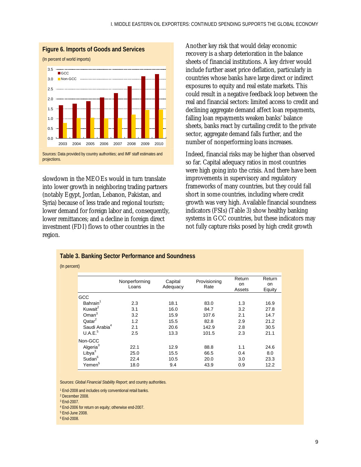

slowdown in the MEOEs would in turn translate into lower growth in neighboring trading partners (notably Egypt, Jordan, Lebanon, Pakistan, and Syria) because of less trade and regional tourism; lower demand for foreign labor and, consequently, lower remittances; and a decline in foreign direct investment (FDI) flows to other countries in the region.

Another key risk that would delay economic recovery is a sharp deterioration in the balance sheets of financial institutions. A key driver would include further asset price deflation, particularly in countries whose banks have large direct or indirect exposures to equity and real estate markets. This could result in a negative feedback loop between the real and financial sectors: limited access to credit and declining aggregate demand affect loan repayments, falling loan repayments weaken banks' balance sheets, banks react by curtailing credit to the private sector, aggregate demand falls further, and the number of nonperforming loans increases.

Indeed, financial risks may be higher than observed so far. Capital adequacy ratios in most countries were high going into the crisis. And there have been improvements in supervisory and regulatory frameworks of many countries, but they could fall short in some countries, including where credit growth was very high. Available financial soundness indicators (FSIs) (Table 3) show healthy banking systems in GCC countries, but these indicators may not fully capture risks posed by high credit growth

| <b>Table 3. Banking Sector Performance and Soundness</b> |
|----------------------------------------------------------|
| (In percent)                                             |

|                           | Nonperforming<br>Loans | Capital<br>Adequacy | Provisioning<br>Rate | Return<br>on<br>Assets | Return<br>on<br>Equity |
|---------------------------|------------------------|---------------------|----------------------|------------------------|------------------------|
| <b>GCC</b>                |                        |                     |                      |                        |                        |
| Bahrain <sup>1</sup>      | 2.3                    | 18.1                | 83.0                 | 1.3                    | 16.9                   |
| Kuwait <sup>2</sup>       | 3.1                    | 16.0                | 84.7                 | 3.2                    | 27.8                   |
| $O$ man $3$               | 3.2                    | 15.9                | 107.6                | 2.1                    | 14.7                   |
| Qatar <sup>2</sup>        | 1.2                    | 15.5                | 82.8                 | 2.9                    | 21.2                   |
| Saudi Arabia <sup>4</sup> | 2.1                    | 20.6                | 142.9                | 2.8                    | 30.5                   |
| U.A.E. <sup>5</sup>       | 2.5                    | 13.3                | 101.5                | 2.3                    | 21.1                   |
| Non-GCC                   |                        |                     |                      |                        |                        |
| Algeria <sup>3</sup>      | 22.1                   | 12.9                | 88.8                 | 1.1                    | 24.6                   |
| Libya <sup>3</sup>        | 25.0                   | 15.5                | 66.5                 | 0.4                    | 8.0                    |
| Sudan <sup>6</sup>        | 22.4                   | 10.5                | 20.0                 | 3.0                    | 23.3                   |
| Yemen <sup>5</sup>        | 18.0                   | 9.4                 | 43.9                 | 0.9                    | 12.2                   |

Sources: *Global Financial Stability Report*; and country authorities.

<sup>1</sup> End-2008 and includes only conventional retail banks.

4 End-2006 for return on equity; otherwise end-2007.

- 5 End-June 2008.
- 6 End-2008.

<sup>2</sup> December 2008.

<sup>3</sup> End-2007.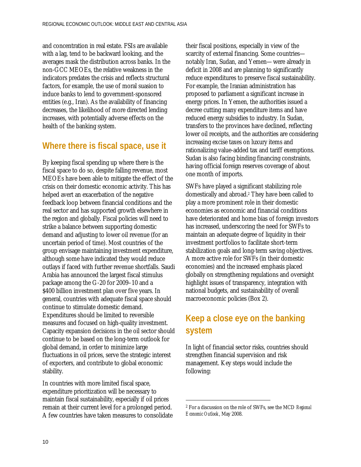and concentration in real estate. FSIs are available with a lag, tend to be backward looking, and the averages mask the distribution across banks. In the non-GCC MEOEs, the relative weakness in the indicators predates the crisis and reflects structural factors, for example, the use of moral suasion to induce banks to lend to government-sponsored entities (e.g., Iran). As the availability of financing decreases, the likelihood of more directed lending increases, with potentially adverse effects on the health of the banking system.

#### **Where there is fiscal space, use it**

By keeping fiscal spending up where there is the fiscal space to do so, despite falling revenue, most MEOEs have been able to mitigate the effect of the crisis on their domestic economic activity. This has helped avert an exacerbation of the negative feedback loop between financial conditions and the real sector and has supported growth elsewhere in the region and globally. Fiscal policies will need to strike a balance between supporting domestic demand and adjusting to lower oil revenue (for an uncertain period of time). Most countries of the group envisage maintaining investment expenditure, although some have indicated they would reduce outlays if faced with further revenue shortfalls. Saudi Arabia has announced the largest fiscal stimulus package among the G-20 for 2009–10 and a \$400 billion investment plan over five years. In general, countries with adequate fiscal space should continue to stimulate domestic demand. Expenditures should be limited to reversible measures and focused on high-quality investment. Capacity expansion decisions in the oil sector should continue to be based on the long-term outlook for global demand, in order to minimize large fluctuations in oil prices, serve the strategic interest of exporters, and contribute to global economic stability.

In countries with more limited fiscal space, expenditure prioritization will be necessary to maintain fiscal sustainability, especially if oil prices remain at their current level for a prolonged period. A few countries have taken measures to consolidate their fiscal positions, especially in view of the scarcity of external financing. Some countries notably Iran, Sudan, and Yemen—were already in deficit in 2008 and are planning to significantly reduce expenditures to preserve fiscal sustainability. For example, the Iranian administration has proposed to parliament a significant increase in energy prices. In Yemen, the authorities issued a decree cutting many expenditure items and have reduced energy subsidies to industry. In Sudan, transfers to the provinces have declined, reflecting lower oil receipts, and the authorities are considering increasing excise taxes on luxury items and rationalizing value-added tax and tariff exemptions. Sudan is also facing binding financing constraints, having official foreign reserves coverage of about one month of imports.

SWFs have played a significant stabilizing role domestically and abroad.2 They have been called to play a more prominent role in their domestic economies as economic and financial conditions have deteriorated and home bias of foreign investors has increased, underscoring the need for SWFs to maintain an adequate degree of liquidity in their investment portfolios to facilitate short-term stabilization goals and long-term saving objectives. A more active role for SWFs (in their domestic economies) and the increased emphasis placed globally on strengthening regulations and oversight highlight issues of transparency, integration with national budgets, and sustainability of overall macroeconomic policies (Box 2).

## **Keep a close eye on the banking system**

In light of financial sector risks, countries should strengthen financial supervision and risk management. Key steps would include the following:

<sup>2</sup> For a discussion on the role of SWFs, see the MCD *Regional Economic Outlook*, May 2008.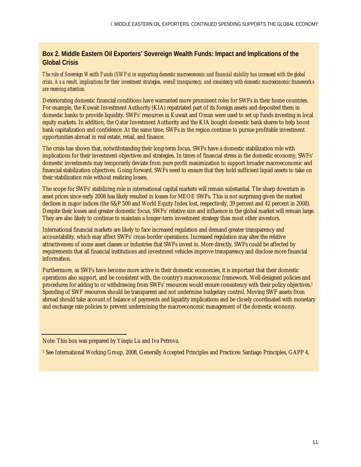#### **Box 2. Middle Eastern Oil Exporters' Sovereign Wealth Funds: Impact and Implications of the Global Crisis**

*The role of Sovereign Wealth Funds (SWFs) in supporting domestic macroeconomic and financial stability has increased with the global crisis. As a result, implications for their investment strategies, overall transparency, and consistency with domestic macroeconomic frameworks are receiving attention.* 

Deteriorating domestic financial conditions have warranted more prominent roles for SWFs in their home countries. For example, the Kuwait Investment Authority (KIA) repatriated part of its foreign assets and deposited them in domestic banks to provide liquidity. SWFs' resources in Kuwait and Oman were used to set up funds investing in local equity markets. In addition, the Qatar Investment Authority and the KIA bought domestic bank shares to help boost bank capitalization and confidence. At the same time, SWFs in the region continue to pursue profitable investment opportunities abroad in real estate, retail, and finance.

The crisis has shown that, notwithstanding their long-term focus, SWFs have a domestic stabilization role with implications for their investment objectives and strategies. In times of financial stress in the domestic economy, SWFs' domestic investments may temporarily deviate from pure profit maximization to support broader macroeconomic and financial stabilization objectives. Going forward, SWFs need to ensure that they hold sufficient liquid assets to take on their stabilization role without realizing losses.

The scope for SWFs' stabilizing role in international capital markets will remain substantial. The sharp downturn in asset prices since early 2008 has likely resulted in losses for MEOE SWFs. This is not surprising given the marked declines in major indices (the S&P 500 and World Equity Index lost, respectively, 39 percent and 42 percent in 2008). Despite their losses and greater domestic focus, SWFs' relative size and influence in the global market will remain large. They are also likely to continue to maintain a longer-term investment strategy than most other investors.

International financial markets are likely to face increased regulation and demand greater transparency and accountability, which may affect SWFs' cross-border operations. Increased regulation may alter the relative attractiveness of some asset classes or industries that SWFs invest in. More directly, SWFs could be affected by requirements that all financial institutions and investment vehicles improve transparency and disclose more financial information.

Furthermore, as SWFs have become more active in their domestic economies, it is important that their domestic operations also support, and be consistent with, the country's macroeconomic framework. Well-designed policies and procedures for adding to or withdrawing from SWFs' resources would ensure consistency with their policy objectives.1 Spending of SWF resources should be transparent and not undermine budgetary control. Moving SWF assets from abroad should take account of balance of payments and liquidity implications and be closely coordinated with monetary and exchange rate policies to prevent undermining the macroeconomic management of the domestic economy.

Note: This box was prepared by Yinqiu Lu and Iva Petrova.

<sup>1</sup> See International Working Group, 2008, Generally Accepted Principles and Practices: Santiago Principles, GAPP 4.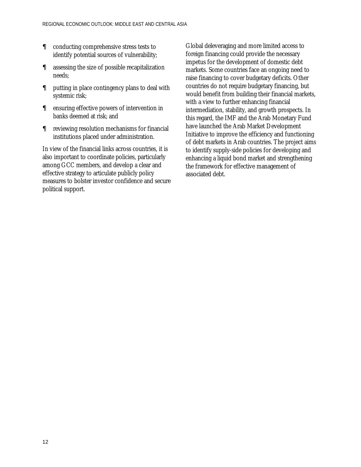- $\epsilon$  conducting comprehensive stress tests to identify potential sources of vulnerability;
- $\epsilon$  assessing the size of possible recapitalization needs;
- $\epsilon$  putting in place contingency plans to deal with systemic risk;
- $\epsilon$  ensuring effective powers of intervention in banks deemed at risk; and
- $\epsilon$  reviewing resolution mechanisms for financial institutions placed under administration.

In view of the financial links across countries, it is also important to coordinate policies, particularly among GCC members, and develop a clear and effective strategy to articulate publicly policy measures to bolster investor confidence and secure political support.

Global deleveraging and more limited access to foreign financing could provide the necessary impetus for the development of domestic debt markets. Some countries face an ongoing need to raise financing to cover budgetary deficits. Other countries do not require budgetary financing, but would benefit from building their financial markets, with a view to further enhancing financial intermediation, stability, and growth prospects. In this regard, the IMF and the Arab Monetary Fund have launched the Arab Market Development Initiative to improve the efficiency and functioning of debt markets in Arab countries. The project aims to identify supply-side policies for developing and enhancing a liquid bond market and strengthening the framework for effective management of associated debt.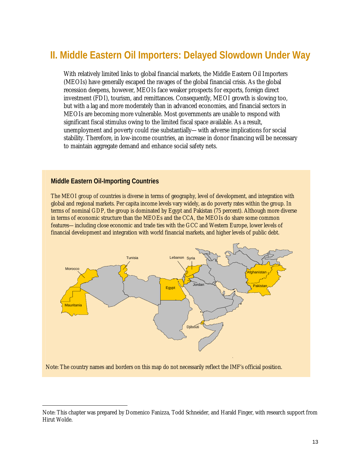# **II. Middle Eastern Oil Importers: Delayed Slowdown Under Way**

 With relatively limited links to global financial markets, the Middle Eastern Oil Importers (MEOIs) have generally escaped the ravages of the global financial crisis. As the global recession deepens, however, MEOIs face weaker prospects for exports, foreign direct investment (FDI), tourism, and remittances. Consequently, MEOI growth is slowing too, but with a lag and more moderately than in advanced economies, and financial sectors in MEOIs are becoming more vulnerable. Most governments are unable to respond with significant fiscal stimulus owing to the limited fiscal space available. As a result, unemployment and poverty could rise substantially—with adverse implications for social stability. Therefore, in low-income countries, an increase in donor financing will be necessary to maintain aggregate demand and enhance social safety nets.

#### **Middle Eastern Oil-Importing Countries**

 The MEOI group of countries is diverse in terms of geography, level of development, and integration with global and regional markets. Per capita income levels vary widely, as do poverty rates within the group. In terms of nominal GDP, the group is dominated by Egypt and Pakistan (75 percent). Although more diverse in terms of economic structure than the MEOEs and the CCA, the MEOIs do share some common features—including close economic and trade ties with the GCC and Western Europe, lower levels of financial development and integration with world financial markets, and higher levels of public debt.



Note: The country names and borders on this map do not necessarily reflect the IMF's official position.

Note: This chapter was prepared by Domenico Fanizza, Todd Schneider, and Harald Finger, with research support from Hirut Wolde.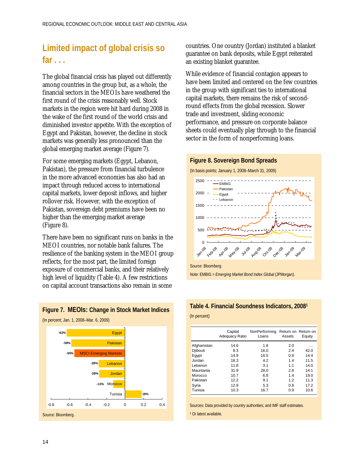## **Limited impact of global crisis so far . . .**

The global financial crisis has played out differently among countries in the group but, as a whole, the financial sectors in the MEOIs have weathered the first round of the crisis reasonably well. Stock markets in the region were hit hard during 2008 in the wake of the first round of the world crisis and diminished investor appetite. With the exception of Egypt and Pakistan, however, the decline in stock markets was generally less pronounced than the global emerging market average (Figure 7).

For some emerging markets (Egypt, Lebanon, Pakistan), the pressure from financial turbulence in the more advanced economies has also had an impact through reduced access to international capital markets, lower deposit inflows, and higher rollover risk. However, with the exception of Pakistan, sovereign debt premiums have been no higher than the emerging market average (Figure 8).

There have been no significant runs on banks in the MEOI countries, nor notable bank failures. The resilience of the banking system in the MEOI group reflects, for the most part, the limited foreign exposure of commercial banks, and their relatively high level of liquidity (Table 4). A few restrictions on capital account transactions also remain in some



**Figure 7. MEOIs: Change in Stock Market Indices** 

countries. One country (Jordan) instituted a blanket guarantee on bank deposits, while Egypt reiterated an existing blanket guarantee.

While evidence of financial contagion appears to have been limited and centered on the few countries in the group with significant ties to international capital markets, there remains the risk of secondround effects from the global recession. Slower trade and investment, sliding economic performance, and pressure on corporate balance sheets could eventually play through to the financial sector in the form of nonperforming loans.



Note: EMBIG = *Emerging Market Bond Index Global* (JPMorgan).

#### **Table 4. Financial Soundness Indicators, 20081**

(In percent)

|             | Capital<br><b>Adequacy Ratio</b> | NonPerforming<br>Loans | Assets | Return on Return on<br>Equity |
|-------------|----------------------------------|------------------------|--------|-------------------------------|
| Afghanistan | 14.6                             | 1.8                    | 2.0    | $\cdots$                      |
| Djibouti    | 8.3                              | 16.0                   | 2.4    | 42.0                          |
| Eqypt       | 14.9                             | 16.5                   | 0.8    | 14.4                          |
| Jordan      | 18.3                             | 4.2                    | 1.4    | 11.5                          |
| Lebanon     | 11.8                             | 3.1                    | 1.1    | 14.0                          |
| Mauritania  | 31.9                             | 28.0                   | 2.8    | 14.1                          |
| Morocco     | 10.7                             | 6.8                    | 1.4    | 19.0                          |
| Pakistan    | 12.2                             | 9.1                    | 1.2    | 11.3                          |
| Syria       | 12.9                             | 5.3                    | 0.8    | 17.2                          |
| Tunisia     | 10.3                             | 16.7                   | 0.9    | 10.6                          |

Sources: Data provided by country authorities; and IMF staff estimates.

<sup>1</sup> Or latest available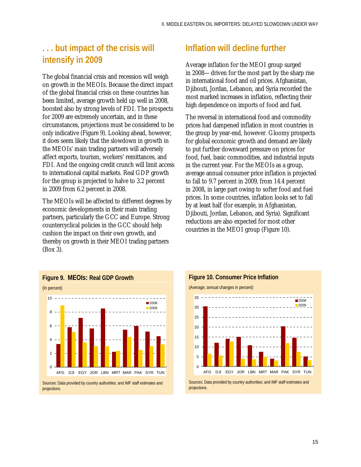### **. . . but impact of the crisis will intensify in 2009**

The global financial crisis and recession will weigh on growth in the MEOIs. Because the direct impact of the global financial crisis on these countries has been limited, average growth held up well in 2008, boosted also by strong levels of FDI. The prospects for 2009 are extremely uncertain, and in these circumstances, projections must be considered to be only indicative (Figure 9). Looking ahead, however, it does seem likely that the slowdown in growth in the MEOIs' main trading partners will adversely affect exports, tourism, workers' remittances, and FDI. And the ongoing credit crunch will limit access to international capital markets. Real GDP growth for the group is projected to halve to 3.2 percent in 2009 from 6.2 percent in 2008.

The MEOIs will be affected to different degrees by economic developments in their main trading partners, particularly the GCC and Europe. Strong countercyclical policies in the GCC should help cushion the impact on their own growth, and thereby on growth in their MEOI trading partners (Box 3).



Average inflation for the MEOI group surged in 2008—driven for the most part by the sharp rise in international food and oil prices. Afghanistan, Djibouti, Jordan, Lebanon, and Syria recorded the most marked increases in inflation, reflecting their high dependence on imports of food and fuel.

The reversal in international food and commodity prices had dampened inflation in most countries in the group by year-end, however. Gloomy prospects for global economic growth and demand are likely to put further downward pressure on prices for food, fuel, basic commodities, and industrial inputs in the current year. For the MEOIs as a group, average annual consumer price inflation is projected to fall to 9.7 percent in 2009, from 14.4 percent in 2008, in large part owing to softer food and fuel prices. In some countries, inflation looks set to fall by at least half (for example, in Afghanistan, Djibouti, Jordan, Lebanon, and Syria). Significant reductions are also expected for most other countries in the MEOI group (Figure 10).